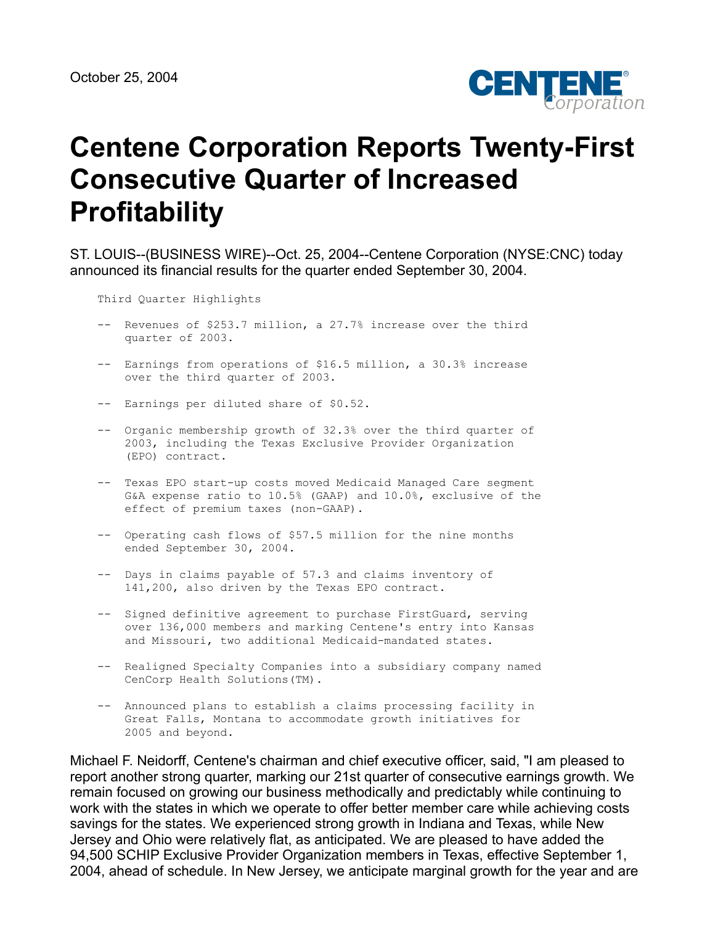

# **Centene Corporation Reports Twenty-First Consecutive Quarter of Increased Profitability**

ST. LOUIS--(BUSINESS WIRE)--Oct. 25, 2004--Centene Corporation (NYSE:CNC) today announced its financial results for the quarter ended September 30, 2004.

Third Quarter Highlights

- -- Revenues of \$253.7 million, a 27.7% increase over the third quarter of 2003.
- -- Earnings from operations of \$16.5 million, a 30.3% increase over the third quarter of 2003.
- -- Earnings per diluted share of \$0.52.
- -- Organic membership growth of 32.3% over the third quarter of 2003, including the Texas Exclusive Provider Organization (EPO) contract.
- -- Texas EPO start-up costs moved Medicaid Managed Care segment G&A expense ratio to 10.5% (GAAP) and 10.0%, exclusive of the effect of premium taxes (non-GAAP).
- -- Operating cash flows of \$57.5 million for the nine months ended September 30, 2004.
- -- Days in claims payable of 57.3 and claims inventory of 141,200, also driven by the Texas EPO contract.
- -- Signed definitive agreement to purchase FirstGuard, serving over 136,000 members and marking Centene's entry into Kansas and Missouri, two additional Medicaid-mandated states.
- -- Realigned Specialty Companies into a subsidiary company named CenCorp Health Solutions(TM).
- -- Announced plans to establish a claims processing facility in Great Falls, Montana to accommodate growth initiatives for 2005 and beyond.

Michael F. Neidorff, Centene's chairman and chief executive officer, said, "I am pleased to report another strong quarter, marking our 21st quarter of consecutive earnings growth. We remain focused on growing our business methodically and predictably while continuing to work with the states in which we operate to offer better member care while achieving costs savings for the states. We experienced strong growth in Indiana and Texas, while New Jersey and Ohio were relatively flat, as anticipated. We are pleased to have added the 94,500 SCHIP Exclusive Provider Organization members in Texas, effective September 1, 2004, ahead of schedule. In New Jersey, we anticipate marginal growth for the year and are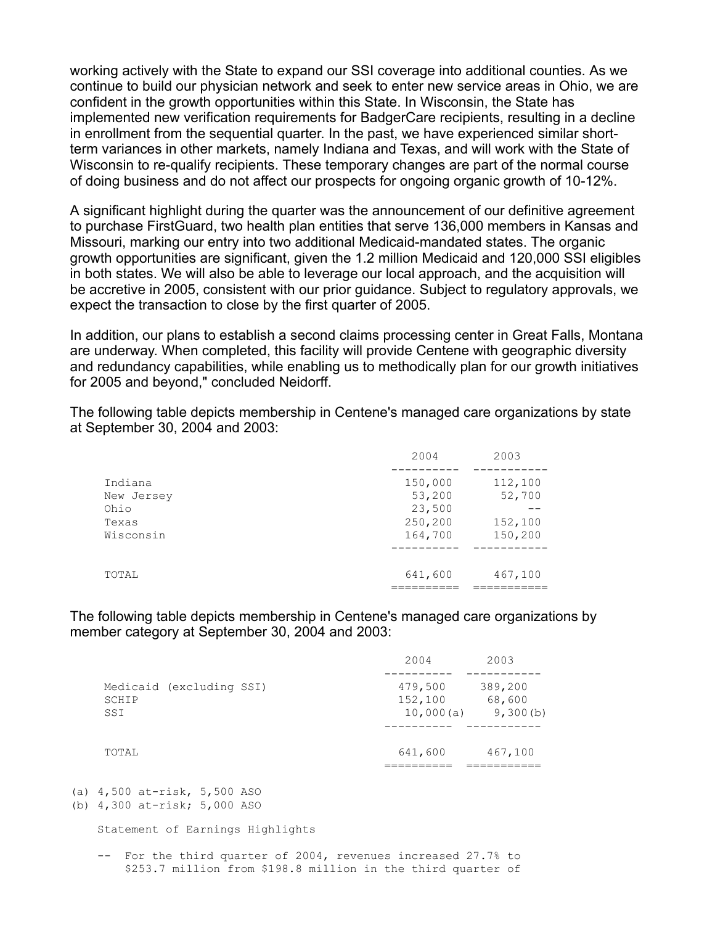working actively with the State to expand our SSI coverage into additional counties. As we continue to build our physician network and seek to enter new service areas in Ohio, we are confident in the growth opportunities within this State. In Wisconsin, the State has implemented new verification requirements for BadgerCare recipients, resulting in a decline in enrollment from the sequential quarter. In the past, we have experienced similar shortterm variances in other markets, namely Indiana and Texas, and will work with the State of Wisconsin to re-qualify recipients. These temporary changes are part of the normal course of doing business and do not affect our prospects for ongoing organic growth of 10-12%.

A significant highlight during the quarter was the announcement of our definitive agreement to purchase FirstGuard, two health plan entities that serve 136,000 members in Kansas and Missouri, marking our entry into two additional Medicaid-mandated states. The organic growth opportunities are significant, given the 1.2 million Medicaid and 120,000 SSI eligibles in both states. We will also be able to leverage our local approach, and the acquisition will be accretive in 2005, consistent with our prior guidance. Subject to regulatory approvals, we expect the transaction to close by the first quarter of 2005.

In addition, our plans to establish a second claims processing center in Great Falls, Montana are underway. When completed, this facility will provide Centene with geographic diversity and redundancy capabilities, while enabling us to methodically plan for our growth initiatives for 2005 and beyond," concluded Neidorff.

The following table depicts membership in Centene's managed care organizations by state at September 30, 2004 and 2003:

|            | 2004    | 2003    |
|------------|---------|---------|
|            |         |         |
| Indiana    | 150,000 | 112,100 |
| New Jersey | 53,200  | 52,700  |
| Ohio       | 23,500  |         |
| Texas      | 250,200 | 152,100 |
| Wisconsin  | 164,700 | 150,200 |
|            |         |         |
| TOTAL      | 641,600 | 467,100 |
|            |         |         |

The following table depicts membership in Centene's managed care organizations by member category at September 30, 2004 and 2003:

|                                          | 2004                            | 2003                          |
|------------------------------------------|---------------------------------|-------------------------------|
| Medicaid (excluding SSI)<br>SCHIP<br>SSI | 479,500<br>152,100<br>10,000(a) | 389,200<br>68,600<br>9,300(b) |
| TOTAL                                    | 641,600                         | 467,100                       |

(a) 4,500 at-risk, 5,500 ASO

 -- For the third quarter of 2004, revenues increased 27.7% to \$253.7 million from \$198.8 million in the third quarter of

<sup>(</sup>b) 4,300 at-risk; 5,000 ASO

Statement of Earnings Highlights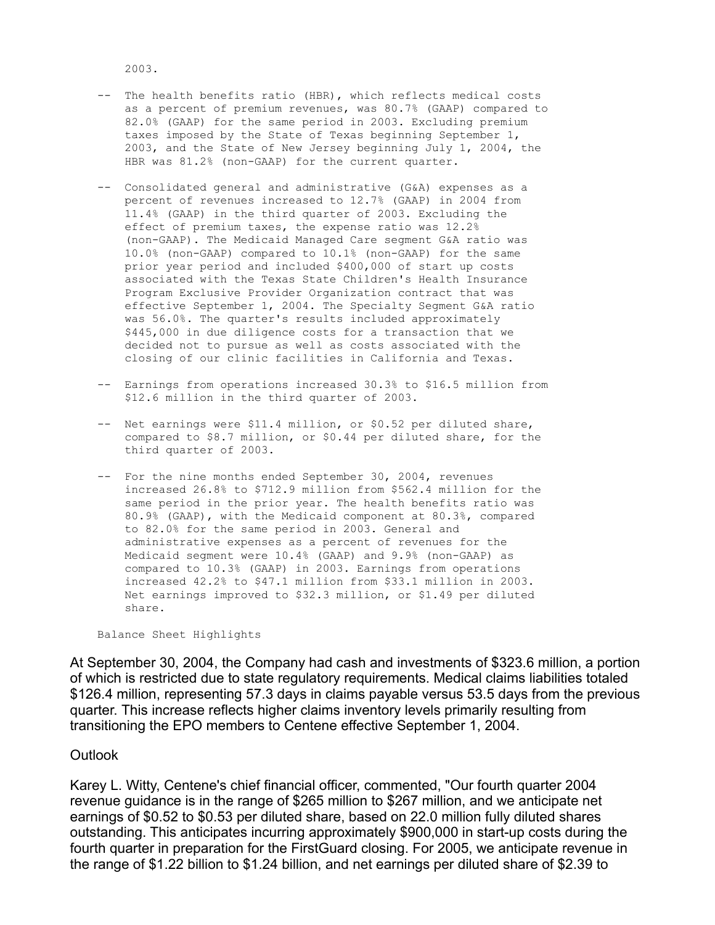2003.

- -- The health benefits ratio (HBR), which reflects medical costs as a percent of premium revenues, was 80.7% (GAAP) compared to 82.0% (GAAP) for the same period in 2003. Excluding premium taxes imposed by the State of Texas beginning September 1, 2003, and the State of New Jersey beginning July 1, 2004, the HBR was 81.2% (non-GAAP) for the current quarter.
- -- Consolidated general and administrative (G&A) expenses as a percent of revenues increased to 12.7% (GAAP) in 2004 from 11.4% (GAAP) in the third quarter of 2003. Excluding the effect of premium taxes, the expense ratio was 12.2% (non-GAAP). The Medicaid Managed Care segment G&A ratio was 10.0% (non-GAAP) compared to 10.1% (non-GAAP) for the same prior year period and included \$400,000 of start up costs associated with the Texas State Children's Health Insurance Program Exclusive Provider Organization contract that was effective September 1, 2004. The Specialty Segment G&A ratio was 56.0%. The quarter's results included approximately \$445,000 in due diligence costs for a transaction that we decided not to pursue as well as costs associated with the closing of our clinic facilities in California and Texas.
- -- Earnings from operations increased 30.3% to \$16.5 million from \$12.6 million in the third quarter of 2003.
- -- Net earnings were \$11.4 million, or \$0.52 per diluted share, compared to \$8.7 million, or \$0.44 per diluted share, for the third quarter of 2003.
- -- For the nine months ended September 30, 2004, revenues increased 26.8% to \$712.9 million from \$562.4 million for the same period in the prior year. The health benefits ratio was 80.9% (GAAP), with the Medicaid component at 80.3%, compared to 82.0% for the same period in 2003. General and administrative expenses as a percent of revenues for the Medicaid segment were 10.4% (GAAP) and 9.9% (non-GAAP) as compared to 10.3% (GAAP) in 2003. Earnings from operations increased 42.2% to \$47.1 million from \$33.1 million in 2003. Net earnings improved to \$32.3 million, or \$1.49 per diluted share.

Balance Sheet Highlights

At September 30, 2004, the Company had cash and investments of \$323.6 million, a portion of which is restricted due to state regulatory requirements. Medical claims liabilities totaled \$126.4 million, representing 57.3 days in claims payable versus 53.5 days from the previous quarter. This increase reflects higher claims inventory levels primarily resulting from transitioning the EPO members to Centene effective September 1, 2004.

## **Outlook**

Karey L. Witty, Centene's chief financial officer, commented, "Our fourth quarter 2004 revenue guidance is in the range of \$265 million to \$267 million, and we anticipate net earnings of \$0.52 to \$0.53 per diluted share, based on 22.0 million fully diluted shares outstanding. This anticipates incurring approximately \$900,000 in start-up costs during the fourth quarter in preparation for the FirstGuard closing. For 2005, we anticipate revenue in the range of \$1.22 billion to \$1.24 billion, and net earnings per diluted share of \$2.39 to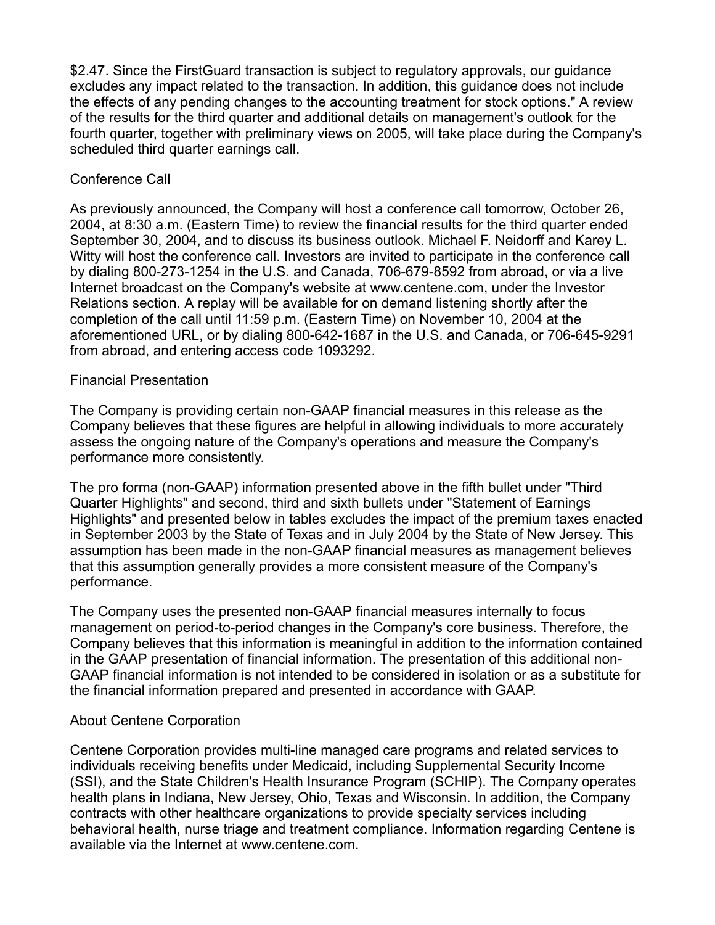\$2.47. Since the FirstGuard transaction is subject to regulatory approvals, our guidance excludes any impact related to the transaction. In addition, this guidance does not include the effects of any pending changes to the accounting treatment for stock options." A review of the results for the third quarter and additional details on management's outlook for the fourth quarter, together with preliminary views on 2005, will take place during the Company's scheduled third quarter earnings call.

# Conference Call

As previously announced, the Company will host a conference call tomorrow, October 26, 2004, at 8:30 a.m. (Eastern Time) to review the financial results for the third quarter ended September 30, 2004, and to discuss its business outlook. Michael F. Neidorff and Karey L. Witty will host the conference call. Investors are invited to participate in the conference call by dialing 800-273-1254 in the U.S. and Canada, 706-679-8592 from abroad, or via a live Internet broadcast on the Company's website at www.centene.com, under the Investor Relations section. A replay will be available for on demand listening shortly after the completion of the call until 11:59 p.m. (Eastern Time) on November 10, 2004 at the aforementioned URL, or by dialing 800-642-1687 in the U.S. and Canada, or 706-645-9291 from abroad, and entering access code 1093292.

# Financial Presentation

The Company is providing certain non-GAAP financial measures in this release as the Company believes that these figures are helpful in allowing individuals to more accurately assess the ongoing nature of the Company's operations and measure the Company's performance more consistently.

The pro forma (non-GAAP) information presented above in the fifth bullet under "Third Quarter Highlights" and second, third and sixth bullets under "Statement of Earnings Highlights" and presented below in tables excludes the impact of the premium taxes enacted in September 2003 by the State of Texas and in July 2004 by the State of New Jersey. This assumption has been made in the non-GAAP financial measures as management believes that this assumption generally provides a more consistent measure of the Company's performance.

The Company uses the presented non-GAAP financial measures internally to focus management on period-to-period changes in the Company's core business. Therefore, the Company believes that this information is meaningful in addition to the information contained in the GAAP presentation of financial information. The presentation of this additional non-GAAP financial information is not intended to be considered in isolation or as a substitute for the financial information prepared and presented in accordance with GAAP.

## About Centene Corporation

Centene Corporation provides multi-line managed care programs and related services to individuals receiving benefits under Medicaid, including Supplemental Security Income (SSI), and the State Children's Health Insurance Program (SCHIP). The Company operates health plans in Indiana, New Jersey, Ohio, Texas and Wisconsin. In addition, the Company contracts with other healthcare organizations to provide specialty services including behavioral health, nurse triage and treatment compliance. Information regarding Centene is available via the Internet at www.centene.com.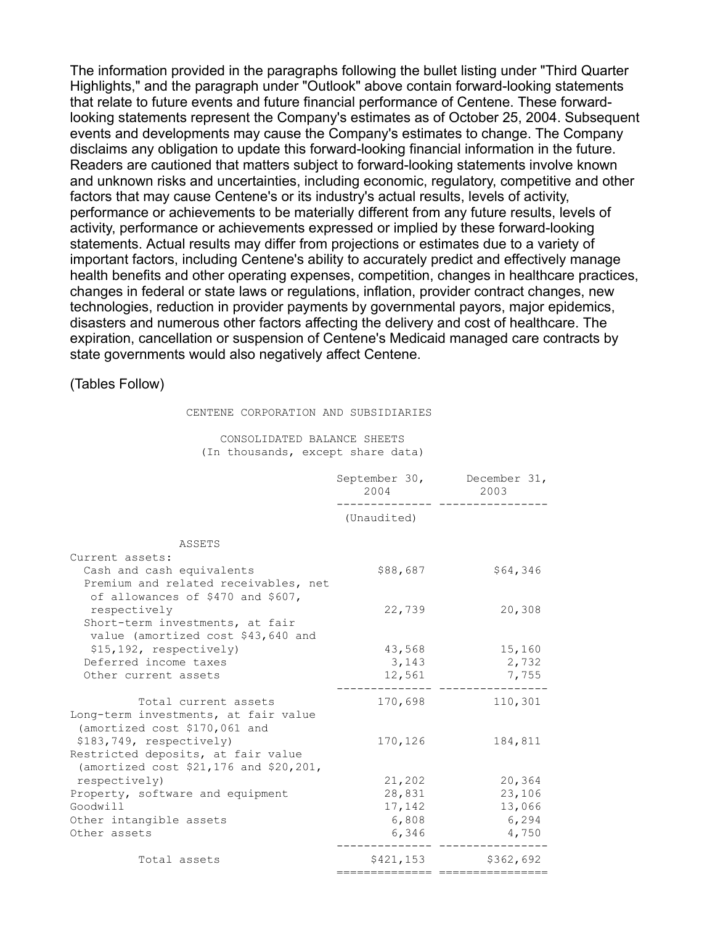The information provided in the paragraphs following the bullet listing under "Third Quarter Highlights," and the paragraph under "Outlook" above contain forward-looking statements that relate to future events and future financial performance of Centene. These forwardlooking statements represent the Company's estimates as of October 25, 2004. Subsequent events and developments may cause the Company's estimates to change. The Company disclaims any obligation to update this forward-looking financial information in the future. Readers are cautioned that matters subject to forward-looking statements involve known and unknown risks and uncertainties, including economic, regulatory, competitive and other factors that may cause Centene's or its industry's actual results, levels of activity, performance or achievements to be materially different from any future results, levels of activity, performance or achievements expressed or implied by these forward-looking statements. Actual results may differ from projections or estimates due to a variety of important factors, including Centene's ability to accurately predict and effectively manage health benefits and other operating expenses, competition, changes in healthcare practices, changes in federal or state laws or regulations, inflation, provider contract changes, new technologies, reduction in provider payments by governmental payors, major epidemics, disasters and numerous other factors affecting the delivery and cost of healthcare. The expiration, cancellation or suspension of Centene's Medicaid managed care contracts by state governments would also negatively affect Centene.

(Tables Follow)

| CENTENE CORPORATION AND SUBSIDIARIES |  |  |
|--------------------------------------|--|--|
|--------------------------------------|--|--|

#### CONSOLIDATED BALANCE SHEETS (In thousands, except share data)

|                                                                                 | 2004                         | September 30, December 31,<br>2003 |
|---------------------------------------------------------------------------------|------------------------------|------------------------------------|
|                                                                                 | (Unaudited)                  |                                    |
| ASSETS                                                                          |                              |                                    |
| Current assets:                                                                 |                              |                                    |
| Cash and cash equivalents                                                       | \$88,687                     | \$64,346                           |
| Premium and related receivables, net<br>of allowances of \$470 and \$607,       |                              |                                    |
| respectively                                                                    | 22,739                       | 20,308                             |
| Short-term investments, at fair<br>value (amortized cost \$43,640 and           |                              |                                    |
| \$15,192, respectively)                                                         | 43,568                       | 15,160                             |
| Deferred income taxes                                                           | 3,143                        | 2,732                              |
| Other current assets                                                            | 12,561                       | 7,755                              |
|                                                                                 |                              |                                    |
| Total current assets                                                            | 170,698                      | 110,301                            |
| Long-term investments, at fair value<br>(amortized cost \$170,061 and           |                              |                                    |
| \$183,749, respectively)                                                        | 170,126                      | 184,811                            |
| Restricted deposits, at fair value<br>(amortized cost $$21,176$ and $$20,201$ , |                              |                                    |
| respectively)                                                                   | 21,202                       | 20,364                             |
| Property, software and equipment                                                | 28,831                       | 23,106                             |
| Goodwill                                                                        | 17,142                       | 13,066                             |
| Other intangible assets                                                         | 6,808                        | 6,294                              |
| Other assets                                                                    | 6,346                        | 4,750                              |
| Total assets                                                                    | \$421,153<br>=============== | \$362,692                          |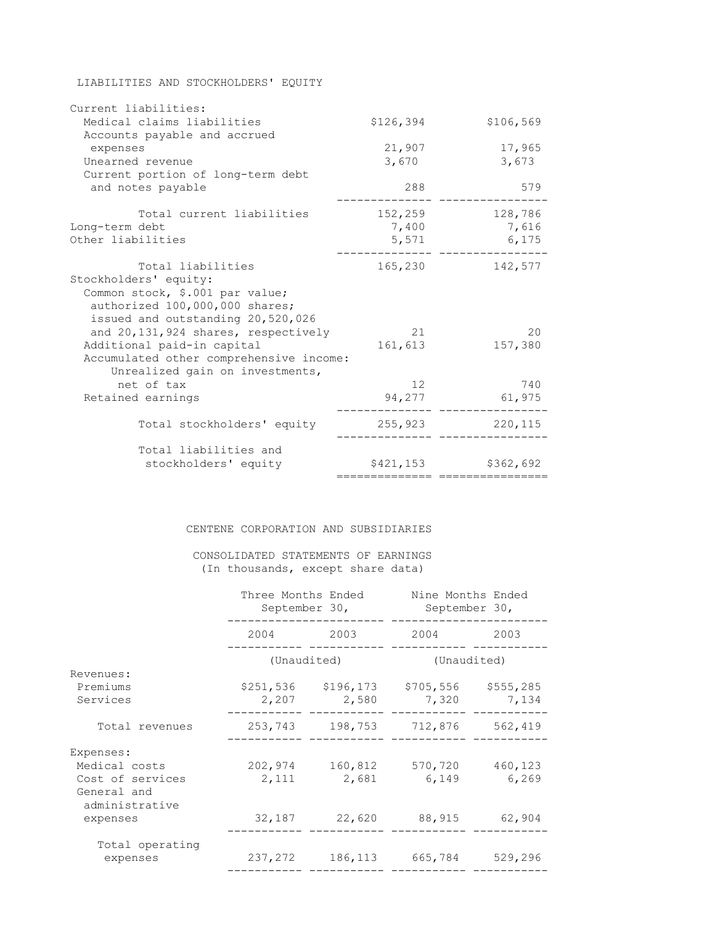| Current liabilities:                                       |                           |           |
|------------------------------------------------------------|---------------------------|-----------|
| Medical claims liabilities<br>Accounts payable and accrued | \$126,394                 | \$106,569 |
| expenses                                                   | 21,907                    | 17,965    |
| Unearned revenue                                           | 3,670                     | 3,673     |
| Current portion of long-term debt                          |                           |           |
| and notes payable                                          | 288                       | 579       |
| Total current liabilities                                  | 152,259                   | 128,786   |
| Long-term debt                                             | 7,400                     | 7,616     |
| Other liabilities                                          | 5,571                     | 6,175     |
| Total liabilities                                          | 165,230                   | 142,577   |
| Stockholders' equity:                                      |                           |           |
| Common stock, \$.001 par value;                            |                           |           |
| authorized 100,000,000 shares;                             |                           |           |
| issued and outstanding 20,520,026                          |                           |           |
| and 20,131,924 shares, respectively                        | 21                        | 20        |
| Additional paid-in capital                                 | 161,613                   | 157,380   |
| Accumulated other comprehensive income:                    |                           |           |
| Unrealized gain on investments,                            |                           |           |
| net of tax                                                 | 12                        | 740       |
| Retained earnings                                          | 94,277                    | 61,975    |
| Total stockholders' equity                                 | 255,923                   | 220, 115  |
| Total liabilities and                                      |                           |           |
| stockholders' equity                                       | \$421,153<br>============ | \$362,692 |

LIABILITIES AND STOCKHOLDERS' EQUITY

#### CENTENE CORPORATION AND SUBSIDIARIES

#### CONSOLIDATED STATEMENTS OF EARNINGS (In thousands, except share data)

|                                                   | Three Months Ended<br>September 30, |            | Nine Months Ended<br>September 30, |           |
|---------------------------------------------------|-------------------------------------|------------|------------------------------------|-----------|
|                                                   | 2004                                | 2003       | 2004                               |           |
|                                                   | (Unaudited)                         |            | (Unaudited)                        |           |
| Revenues:                                         |                                     |            |                                    |           |
| Premiums                                          | \$251,536                           | \$196, 173 | \$705,556                          | \$555,285 |
| Services                                          | 2,207                               | 2,580      | 7,320                              | 7,134     |
| Total revenues                                    | 253,743                             | 198,753    | 712,876                            | 562,419   |
| Expenses:                                         |                                     |            |                                    |           |
| Medical costs                                     | 202,974                             | 160,812    | 570,720                            | 460,123   |
| Cost of services<br>General and<br>administrative | 2,111                               | 2,681      | 6,149                              | 6,269     |
| expenses                                          | 32,187                              | 22,620     | 88,915                             | 62,904    |
| Total operating<br>expenses                       | 237,272                             | 186,113    | 665,784                            | 529,296   |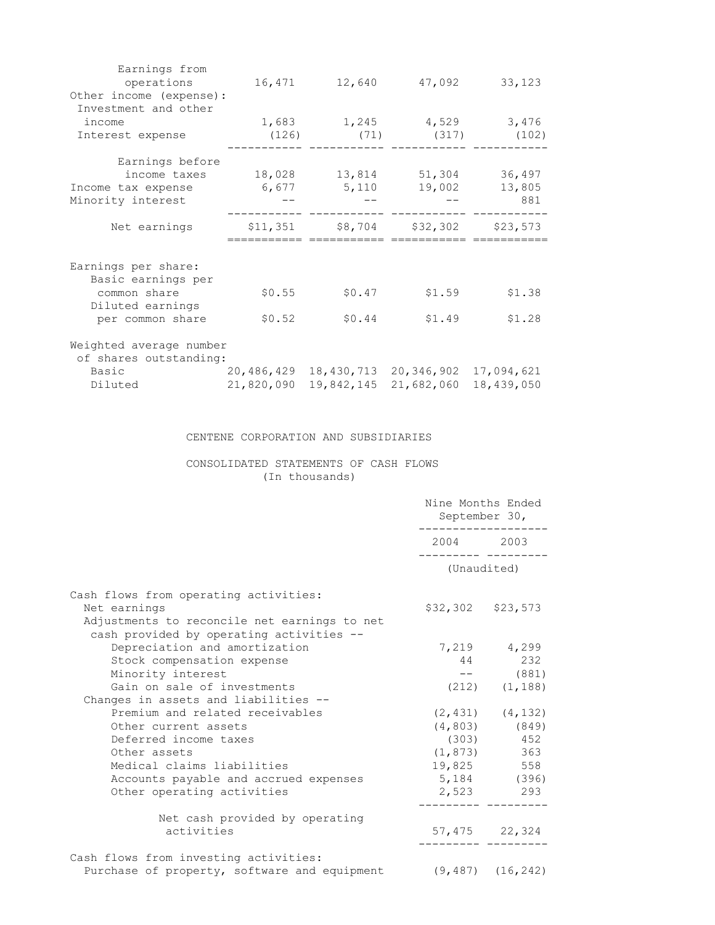| Earnings from<br>operations<br>Other income (expense): | 16,471     | 12,640     | 47,092             | 33,123     |
|--------------------------------------------------------|------------|------------|--------------------|------------|
| Investment and other                                   |            |            |                    |            |
| income                                                 | 1,683      | 1,245      | 4,529              | 3,476      |
| Interest expense                                       | (126)      | (71)       | (317)              | (102)      |
| Earnings before                                        |            |            |                    |            |
| income taxes                                           | 18,028     | 13,814     | 51,304             | 36,497     |
| Income tax expense                                     | 6,677      | 5,110      | 19,002             | 13,805     |
| Minority interest                                      |            |            |                    | 881        |
| Net earnings                                           | \$11,351   |            | $$8,704$ $$32,302$ | \$23,573   |
|                                                        |            |            |                    |            |
| Earnings per share:                                    |            |            |                    |            |
| Basic earnings per                                     |            |            |                    |            |
| common share                                           | \$0.55     | \$0.47     | \$1.59             | \$1.38     |
| Diluted earnings                                       |            |            |                    |            |
| per common share                                       | \$0.52     | \$0.44     | \$1.49             | \$1.28     |
| Weighted average number                                |            |            |                    |            |
| of shares outstanding:                                 |            |            |                    |            |
| Basic                                                  | 20,486,429 | 18,430,713 | 20,346,902         | 17,094,621 |
| Diluted                                                | 21,820,090 | 19,842,145 | 21,682,060         | 18,439,050 |

## CENTENE CORPORATION AND SUBSIDIARIES

## CONSOLIDATED STATEMENTS OF CASH FLOWS (In thousands)

|                                                                                          | Nine Months Ended<br>September 30, |                       |  |
|------------------------------------------------------------------------------------------|------------------------------------|-----------------------|--|
|                                                                                          | 2004 2003                          |                       |  |
|                                                                                          | (Unaudited)                        |                       |  |
| Cash flows from operating activities:                                                    |                                    |                       |  |
| Net earnings                                                                             | $$32,302$ $$23,573$                |                       |  |
| Adjustments to reconcile net earnings to net<br>cash provided by operating activities -- |                                    |                       |  |
| Depreciation and amortization                                                            |                                    | 7,219 4,299           |  |
| Stock compensation expense                                                               | 44                                 | 232                   |  |
| Minority interest                                                                        |                                    | $---$ (881)           |  |
| Gain on sale of investments                                                              |                                    | $(212)$ $(1, 188)$    |  |
| Changes in assets and liabilities --                                                     |                                    |                       |  |
| Premium and related receivables                                                          |                                    | $(2, 431)$ $(4, 132)$ |  |
| Other current assets                                                                     |                                    | $(4, 803)$ (849)      |  |
| Deferred income taxes                                                                    |                                    | $(303)$ 452           |  |
| Other assets                                                                             |                                    | $(1, 873)$ 363        |  |
| Medical claims liabilities                                                               |                                    | 19,825 558            |  |
| Accounts payable and accrued expenses                                                    |                                    | $5,184$ (396)         |  |
| Other operating activities                                                               |                                    | 2,523 293             |  |
| Net cash provided by operating                                                           |                                    |                       |  |
| activities                                                                               |                                    | 57,475 22,324         |  |
| Cash flows from investing activities:                                                    |                                    |                       |  |
| Purchase of property, software and equipment (9,487) (16,242)                            |                                    |                       |  |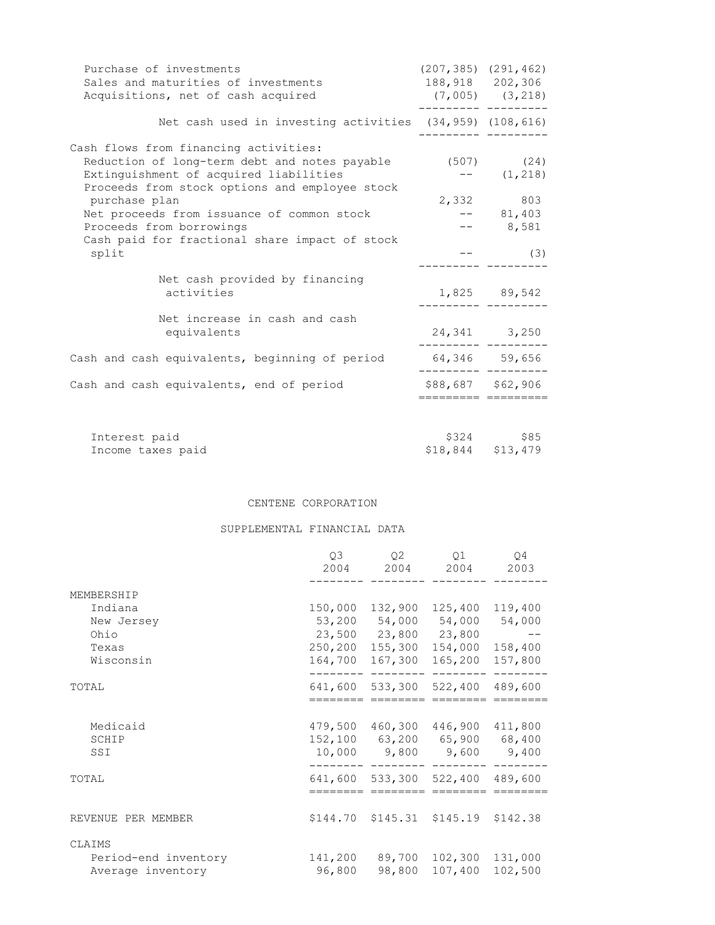| Purchase of investments<br>Sales and maturities of investments<br>Acquisitions, net of cash acquired                                                                                          |                   | $(207, 385)$ $(291, 462)$<br>188,918 202,306<br>$(7,005)$ $(3,218)$ |
|-----------------------------------------------------------------------------------------------------------------------------------------------------------------------------------------------|-------------------|---------------------------------------------------------------------|
| Net cash used in investing activities $(34, 959)$ $(108, 616)$                                                                                                                                |                   |                                                                     |
| Cash flows from financing activities:<br>Reduction of long-term debt and notes payable (507) (24)<br>Extinguishment of acquired liabilities<br>Proceeds from stock options and employee stock |                   | $---(1,218)$                                                        |
| purchase plan<br>Net proceeds from issuance of common stock<br>Proceeds from borrowings<br>Cash paid for fractional share impact of stock                                                     |                   | 2,332 803<br>$-- 81,403$<br>$-- 8,581$                              |
| split                                                                                                                                                                                         |                   | (3)                                                                 |
| Net cash provided by financing<br>activities                                                                                                                                                  |                   | 1,825 89,542                                                        |
| Net increase in cash and cash<br>equivalents                                                                                                                                                  |                   | 24,341 3,250                                                        |
| Cash and cash equivalents, beginning of period                                                                                                                                                | 64,346 59,656     |                                                                     |
| Cash and cash equivalents, end of period                                                                                                                                                      | \$88,687 \$62,906 |                                                                     |
| Interest paid<br>Income taxes paid                                                                                                                                                            |                   | \$324 \$85<br>\$18,844 \$13,479                                     |

CENTENE CORPORATION

SUPPLEMENTAL FINANCIAL DATA

|                          | Q3<br>2004                   | 02<br>2004                 | O1<br>2004                 | O4<br>2003                 |
|--------------------------|------------------------------|----------------------------|----------------------------|----------------------------|
| MEMBERSHIP               |                              |                            |                            |                            |
| Indiana                  | 150,000                      | 132,900                    | 125,400                    | 119,400                    |
| New Jersey               | 53,200                       | 54,000                     | 54,000                     | 54,000                     |
| Ohio                     |                              | 23,500 23,800 23,800       |                            |                            |
| Texas                    | 250,200                      | 155,300                    | 154,000                    | 158,400                    |
| Wisconsin                | 164,700                      | 167,300                    | 165,200                    | 157,800                    |
| TOTAL                    |                              | 641,600 533,300            | 522,400                    | 489,600                    |
| Medicaid<br>SCHIP<br>SSI | 479,500<br>152,100<br>10,000 | 460,300<br>63,200<br>9,800 | 446,900<br>65,900<br>9,600 | 411,800<br>68,400<br>9,400 |
| TOTAL                    |                              | 641,600 533,300            | 522,400                    | 489,600                    |
|                          |                              |                            |                            |                            |
| REVENUE PER MEMBER       |                              | $$144.70$ $$145.31$        | \$145.19                   | \$142.38                   |
| CLAIMS                   |                              |                            |                            |                            |
| Period-end inventory     | 141,200                      | 89,700                     | 102,300                    | 131,000                    |
| Average inventory        | 96,800                       | 98,800                     | 107,400                    | 102,500                    |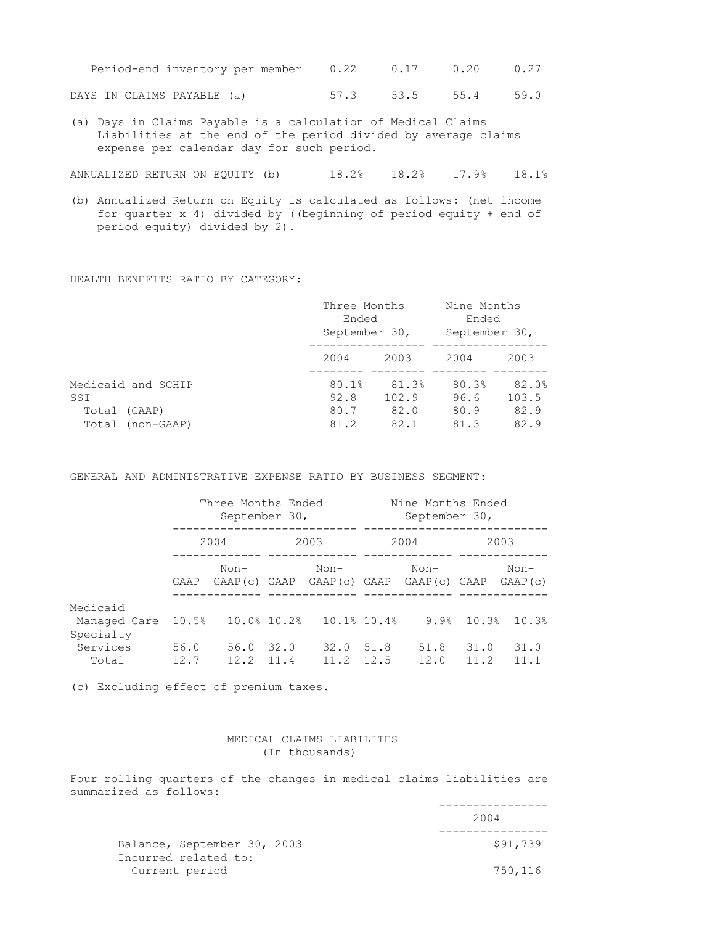| Period-end inventory per member 0.22 0.17 0.20 0.27 |  |  |  |  |
|-----------------------------------------------------|--|--|--|--|
|                                                     |  |  |  |  |

DAYS IN CLAIMS PAYABLE (a) 57.3 53.5 55.4 59.0

(a) Days in Claims Payable is a calculation of Medical Claims Liabilities at the end of the period divided by average claims expense per calendar day for such period.

ANNUALIZED RETURN ON EQUITY (b) 18.2% 18.2% 17.9% 18.1%

(b) Annualized Return on Equity is calculated as follows: (net income for quarter x 4) divided by ((beginning of period equity + end of period equity) divided by 2).

HEALTH BENEFITS RATIO BY CATEGORY:

|                    | Three Months<br>Ended<br>September 30, |       | Nine Months<br>Ended<br>September 30, |       |
|--------------------|----------------------------------------|-------|---------------------------------------|-------|
|                    | 2004                                   | 2003  | 2004                                  | 2003  |
| Medicaid and SCHIP | 80.1%                                  | 81.3% | 80.3%                                 | 82.0% |
| SSI                | 92.8                                   | 102.9 | 96.6                                  | 103.5 |
| (GAAP)<br>Total    | 80.7                                   | 82.0  | 80.9                                  | 82.9  |
| Total (non-GAAP)   | 81.2                                   | 82.1  | 81.3                                  | 82.9  |

GENERAL AND ADMINISTRATIVE EXPENSE RATIO BY BUSINESS SEGMENT:

|                                       | Three Months Ended<br>September 30, |                       |      |                                                        | Nine Months Ended<br>September 30, |              |              |                 |
|---------------------------------------|-------------------------------------|-----------------------|------|--------------------------------------------------------|------------------------------------|--------------|--------------|-----------------|
|                                       | 2004                                |                       | 2003 |                                                        | 2004                               |              | 2003         |                 |
|                                       | GAAP                                | $Non-$                |      | Non-<br>GAAP(c) GAAP GAAP(c) GAAP GAAP(c) GAAP GAAP(c) |                                    | $Non-$       |              | $Non-$          |
| Medicaid<br>Managed Care<br>Specialty |                                     |                       |      | $10.5\%$ $10.0\%$ $10.2\%$ $10.1\%$ $10.4\%$           |                                    | 9.9%         |              | $10.3%$ $10.3%$ |
| Services<br>Total                     | 56.0<br>12.7                        | 56.0<br>$12.2$ $11.4$ | 32.0 | 32.0<br>11.2                                           | 51.8<br>12.5                       | 51.8<br>12.0 | 31.0<br>11.2 | 31.0<br>11.1    |

(c) Excluding effect of premium taxes.

#### MEDICAL CLAIMS LIABILITES (In thousands)

Four rolling quarters of the changes in medical claims liabilities are summarized as follows:

|                                        | 2004     |
|----------------------------------------|----------|
| Balance, September 30, 2003            | \$91,739 |
| Incurred related to:<br>Current period | 750,116  |

----------------